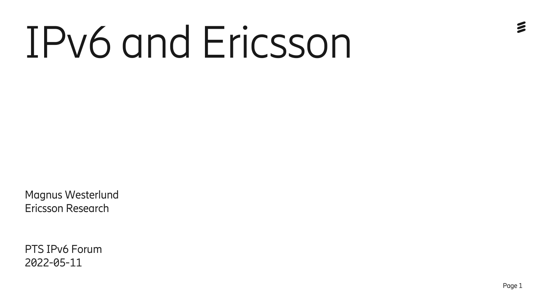## IPv6 and Ericsson

Magnus Westerlund Ericsson Research

PTS IPv6 Forum 2022-05-11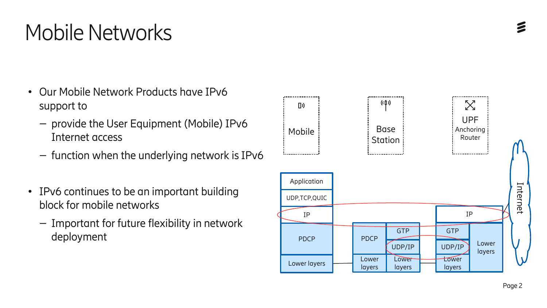## Mobile Networks

- Our Mobile Network Products have IPv6 support to
	- provide the User Equipment (Mobile) IPv6 Internet access
	- function when the underlying network is IPv6
- IPv6 continues to be an important building block for mobile networks
	- Important for future flexibility in network deployment

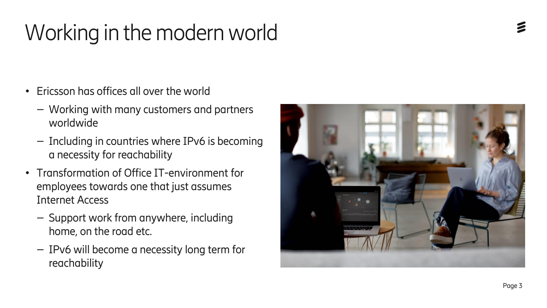## Working in the modern world

- Ericsson has offices all over the world
	- Working with many customers and partners worldwide
	- Including in countries where IPv6 is becoming a necessity for reachability
- Transformation of Office IT-environment for employees towards one that just assumes Internet Access
	- Support work from anywhere, including home, on the road etc.
	- IPv6 will become a necessity long term for reachability

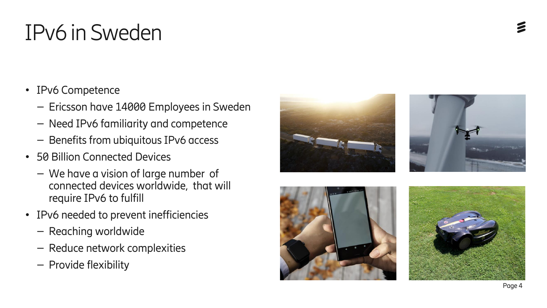## IPv6 in Sweden

- IPv6 Competence
	- Ericsson have 14000 Employees in Sweden
	- Need IPv6 familiarity and competence
	- Benefits from ubiquitous IPv6 access
- 50 Billion Connected Devices
	- We have a vision of large number of connected devices worldwide, that will require IPv6 to fulfill
- IPv6 needed to prevent inefficiencies
	- Reaching worldwide
	- Reduce network complexities
	- Provide flexibility